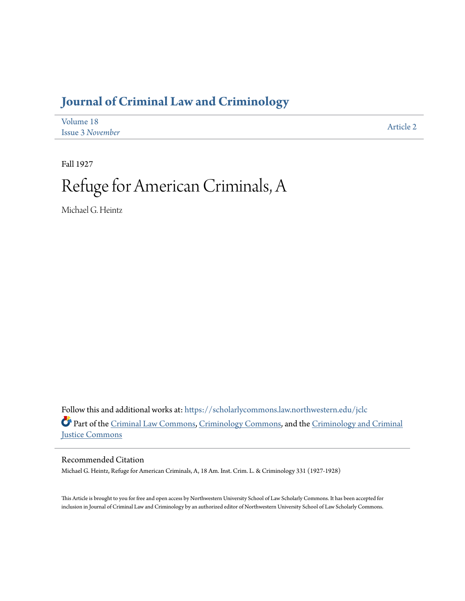## **[Journal of Criminal Law and Criminology](https://scholarlycommons.law.northwestern.edu/jclc?utm_source=scholarlycommons.law.northwestern.edu%2Fjclc%2Fvol18%2Fiss3%2F2&utm_medium=PDF&utm_campaign=PDFCoverPages)**

| Volume 18               | Article 2 |
|-------------------------|-----------|
| <b>Issue 3 November</b> |           |

Fall 1927

## Refuge for American Criminals, A

Michael G. Heintz

Follow this and additional works at: [https://scholarlycommons.law.northwestern.edu/jclc](https://scholarlycommons.law.northwestern.edu/jclc?utm_source=scholarlycommons.law.northwestern.edu%2Fjclc%2Fvol18%2Fiss3%2F2&utm_medium=PDF&utm_campaign=PDFCoverPages) Part of the [Criminal Law Commons](http://network.bepress.com/hgg/discipline/912?utm_source=scholarlycommons.law.northwestern.edu%2Fjclc%2Fvol18%2Fiss3%2F2&utm_medium=PDF&utm_campaign=PDFCoverPages), [Criminology Commons](http://network.bepress.com/hgg/discipline/417?utm_source=scholarlycommons.law.northwestern.edu%2Fjclc%2Fvol18%2Fiss3%2F2&utm_medium=PDF&utm_campaign=PDFCoverPages), and the [Criminology and Criminal](http://network.bepress.com/hgg/discipline/367?utm_source=scholarlycommons.law.northwestern.edu%2Fjclc%2Fvol18%2Fiss3%2F2&utm_medium=PDF&utm_campaign=PDFCoverPages) [Justice Commons](http://network.bepress.com/hgg/discipline/367?utm_source=scholarlycommons.law.northwestern.edu%2Fjclc%2Fvol18%2Fiss3%2F2&utm_medium=PDF&utm_campaign=PDFCoverPages)

Recommended Citation

Michael G. Heintz, Refuge for American Criminals, A, 18 Am. Inst. Crim. L. & Criminology 331 (1927-1928)

This Article is brought to you for free and open access by Northwestern University School of Law Scholarly Commons. It has been accepted for inclusion in Journal of Criminal Law and Criminology by an authorized editor of Northwestern University School of Law Scholarly Commons.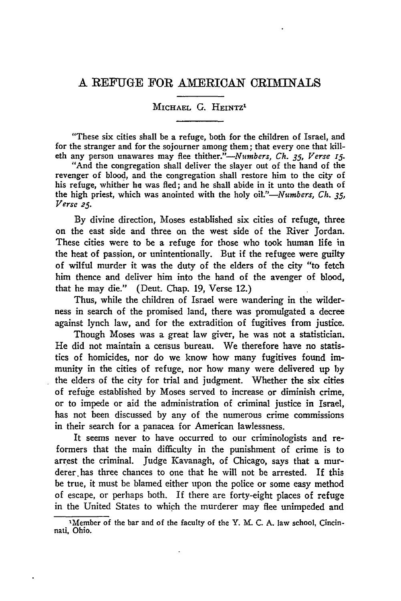## **A** REFUGE FOR AMERICAN CRIMINALS

## MICHAEL G. HEINTZ<sup>1</sup>

"These six cities shall be a refuge, both for the children of Israel, and for the stranger and for the sojourner among them; that every one that killeth any person unawares may flee *thither."--Numbers, Ch. 35, Verse* **15.**

"And the congregation shall deliver the slayer out of the hand of the revenger of blood, and the congregation shall restore him to the city of his refuge, whither he was fled; and he shall abide in it unto the death of the high priest, which was anointed with the holy *oil."-Numbers, Ch. 35, Verse 2.5.*

**By** divine direction, Moses established six cities of refuge, three on the east side and three on the west side of the River Jordan. These cities were to be a refuge for those who took human life in the heat of passion, or unintentionally. But if the refugee were guilty of wilful murder it was the duty of the elders of the city "to fetch him thence and deliver him into the hand of the avenger of blood, that he may die." (Deut. Chap. 19, Verse 12.)

Thus, while the children of Israel were wandering in the wilderness in search of the promised land, there was promulgated a decree against lynch law, and for the extradition of fugitives from justice.

Though Moses was a great law giver, he was not a statistician. He did not maintain a census bureau. We therefore have no statistics of homicides, nor do we know how many fugitives found immunity in the cities of refuge, nor how many were delivered up by the elders of the city for trial and judgment. Whether the six cities of refuge established **by** Moses served to increase or diminish crime, or to impede or aid the administration of criminal justice in Israel, has not been discussed **by** any of the numerous crime commissions in their search for a panacea for American lawlessness.

It seems never to have occurred to our criminologists and reformers that the main difficulty in the punishment of crime is to arrest the criminal. Judge Kavanagh, of Chicago, says that a murderer.has three chances to one that he will not be arrested. If this be true, it must be blamed either upon the police or some easy method of escape, or perhaps both. If there are forty-eight places of refuge in the United States to which the murderer may flee unimpeded and

<sup>&#</sup>x27;Member of the bar and of the faculty of the Y. **M.** C. A. law school, Cincinnati, Ohio.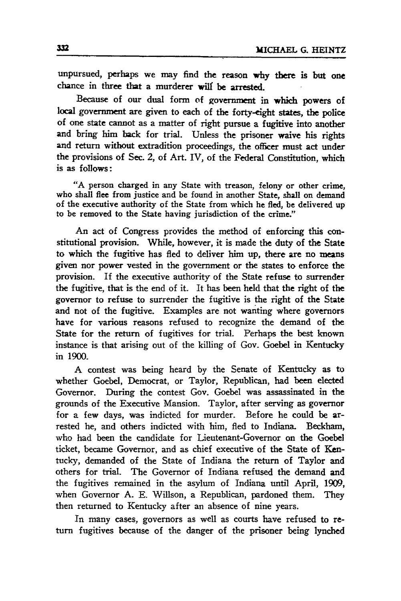unpursued, perhaps we **may** find the reason why there is but one chance in three that a murderer will be arrested.

Because of our dual form of government in which powers of local government are given to each of the forty-eight states, the police of one state cannot as a matter of right pursue a fugitive into another and bring him back for trial. Unless the prisoner waive his rights and return without extradition proceedings, the officer must act under the provisions of Sec. 2, of Art. IV, of the Federal Constitution, which is as follows:

**"A** person charged in any State with treason, felony or other crime, who shall flee from justice and be found in another State, shall on demand of the executive authority of the State from which he fled, **be** delivered up to be removed to the State having jurisdiction of the crime."

An act of Congress provides the method of enforcing this constitutional provision. While, however, it is made the duty of the State to which the fugitive has fled to deliver him up, there are no means given nor power vested in the government or the states to enforce the provision. If the executive authority of the State refuse to surrender the fugitive, that is the end of it. It has been **held** that the right of the governor to refuse to surrender the fugitive is the right of the State and not of the fugitive. Examples are not wanting where governors have for various reasons refused to recognize the demand of the State for the return of fugitives for trial. Perhaps the best known instance is that arising out of the killing of Gov. Goebel in Kentucky in **1900.**

**A** contest was being heard **by** the Senate of Kentucky as to whether Goebel, Democrat, or Taylor, Republican, had been elected Governor. During the contest Gov. Goebel was assassinated in the grounds of the Executive Mansion. Taylor, after serving as governor for a few days, was indicted for murder. Before he could be arrested he, and others indicted with him, fled to Indiana. Beckham, who had been the candidate for Lieutenant-Governor on the Goebel ticket, became Governor, and as chief executive of the State of Kentucky, demanded of the State of Indiana the return of Taylor and others for trial. The Governor of Indiana refused the demand and the fugitives remained in the asylum of Indiana until April, **1909,** when Governor **A. E.** Willson, a Republican, pardoned them. They then returned to Kentucky after an absence of nine years.

In many cases, governors as well as courts have refused to return fugitives because of the danger of the prisoner being lynched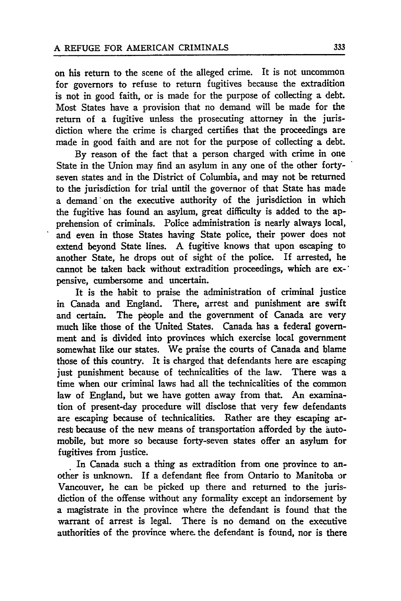on his return to the scene of the alleged crime. It is not uncommon for governors to refuse to return fugitives because the extradition is not in good faith, or is made for the purpose of collecting a debt. Most States have a provision that no demand will be made for the return of a fugitive unless the prosecuting attorney in the jurisdiction where the crime is charged certifies that the proceedings are made in good faith and are not for the purpose of collecting a debt.

By reason of the fact that a person charged with crime in one State in the Union may find an asylum in any one of the other fortyseven states and in the District of Columbia, and may not be returned to the jurisdiction for trial until the governor of that State has made a demand on the executive authority of the jurisdiction in which the fugitive has found an asylum, great difficulty is added to the apprehension of criminals. Police administration is nearly always local, and even in those States having State police, their power does not extend beyond State lines. A fugitive knows that upon escaping to another State, he drops out of sight of the police. If arrested, he cannot be taken back without extradition proceedings, which are expensive, cumbersome and uncertain.

It is the habit to praise the administration of criminal justice in Canada and England. There, arrest and punishment are swift and certain. The people and the government of Canada are very much like those of the United States. Canada has a federal government and is divided into provinces which exercise local government somewhat like our states. We praise the courts of Canada and blame those of this country. It is charged that defendants here are escaping just punishment because of technicalities of the law. There was a time when our criminal laws had all the technicalities of the common law of England, but we have gotten away from that. An examination of present-day procedure will disclose that very few defendants are escaping because of technicalities. Rather are they escaping arrest because of the new means of transportation afforded **by** the automobile, but more so because forty-seven states offer an asylum for fugitives from justice.

In Canada such a thing as extradition from one province to another is unknown. If a defendant flee from Ontario to Manitoba or Vancouver, he can be picked up there and returned to the jurisdiction of the offense without any formality except an indorsement **by** a magistrate in the province where the defendant is found that the warrant of arrest is legal. There is no demand on the executive authorities of the province where. the defendant is found, nor is there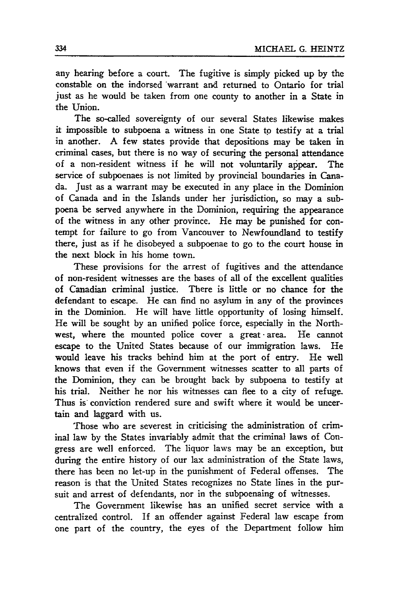any hearing before a court. The fugitive is simply picked up by the constable on the indorsed 'warrant and returned to Ontario for trial just as he would be taken from one county to another in a State in the Union.

The so-called sovereignty of our several States likewise makes it impossible to subpoena a witness in one State to testify at a trial in another. A few states provide that depositions may be taken in criminal cases, but there is no way of securing the personal attendance of a non-resident witness if he will not voluntarily appear. The service of subpoenaes is not limited **by** provincial boundaries in Canada. Just as a warrant may be executed in any place in the Dominion of Canada and in the Islands under her jurisdiction, so may a subpoena be served anywhere in the Dominion, requiring the appearance of the witness in any other province. He may be punished for contempt for failure to go from Vancouver to Newfoundland to testify there, just as if he disobeyed a subpoenae to go to the court house in the next block in his home town.

These provisions for the arrest of fugitives and the attendance of non-resident witnesses are the bases of all of the excellent qualities of Canadian criminal justice. There is little or no chance for the defendant to escape. He can find no asylum in any of the provinces in the Dominion. He will have little opportunity of losing himself. He will be sought by an unified police force, especially in the Northwest, where the mounted police cover a great -area. He cannot escape to the United States because of our immigration laws. He would leave his tracks behind him at the port of entry. He well knows that even if the Government witnesses scatter to all parts of the Dominion, they can be brought back by subpoena to testify at his trial. Neither he nor his witnesses can flee to a city of refuge. Thus is conviction rendered sure and swift where it would be uncertain and laggard with us.

Those who are severest in criticising the administration of criminal law by the States invariably admit that the criminal laws of Congress are well enforced. The liquor laws may be an exception, but during the entire history of our lax administration of the State laws, there has been no let-up in the punishment of Federal offenses. The reason is that the United States recognizes no State lines in the pursuit and arrest of defendants, nor in the subpoenaing of witnesses.

The Government likewise has an unified secret service with a centralized control. If an offender against Federal law escape from one part of the country, the eyes of the Department follow him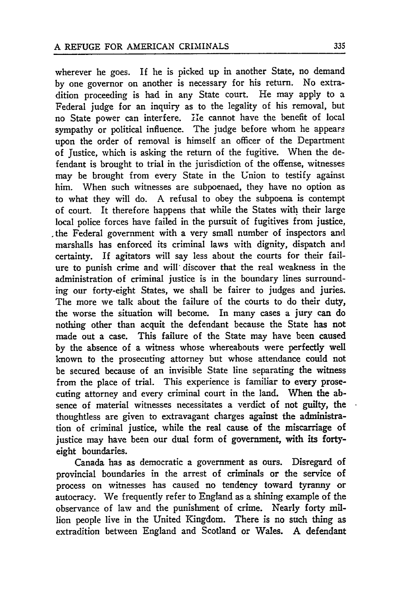wherever he goes. If he is picked up in another State, no demand by one governor on another is necessary for his return. No extradition proceeding is had in any State court. He may apply to a Federal judge for an inquiry as to the legality of his removal, but no State power can interfere. He cannot have the benefit of local sympathy or political influence. The judge before whom he appears upon the order of removal is himself an officer of the Department of Justice, which is asking the return of the fugitive. When the defendant is brought to trial in the jurisdiction of the offense, witnesses may be brought from every State in the Union to testify against him. When such witnesses are subpoenaed, they have no option as to what they will do. A refusal to obey the subpoena is contempt of court. It therefore happens that while the States with their large local police forces have failed in the pursuit of fugitives from justice, , the Federal government with a very small number of inspectors and marshalls has enforced its criminal laws with dignity, dispatch and certainty. If agitators will say less about the courts for their failure to punish crime and will, discover that the real weakness in the administration of criminal justice is in the boundary lines surrounding our forty-eight States, we shall be fairer to judges and juries. The more we talk about the failure of the courts to do their duty, the worse the situation will become. In many cases a jury can do nothing other than acquit the defendant because the State has not made out a case. This failure of the State may have been caused by the absence of a witness whose whereabouts were perfectly well known to the prosecuting attorney but whose attendance could not be secured because of an invisible State line separating the witness from the place of trial. This experience is familiar to every prosecuting attorney and every criminal court in the land. When the absence of material witnesses necessitates a verdict of not guilty, the thoughtless are given to extravagant charges against the administration of criminal justice, while the real cause of the miscarriage of justice may have been our dual form of government, with its fortyeight boundaries.

Canada has as democratic a government as ours. Disregard of provincial boundaries in the arrest of criminals or the service of process on witnesses has caused no tendency toward tyranny or autocracy. We frequently refer to England as a shining example of the observance of law and the punishment of crime. Nearly forty million people live in the United Kingdom. There is no such thing as extradition between England and Scotland or Wales. A defendant